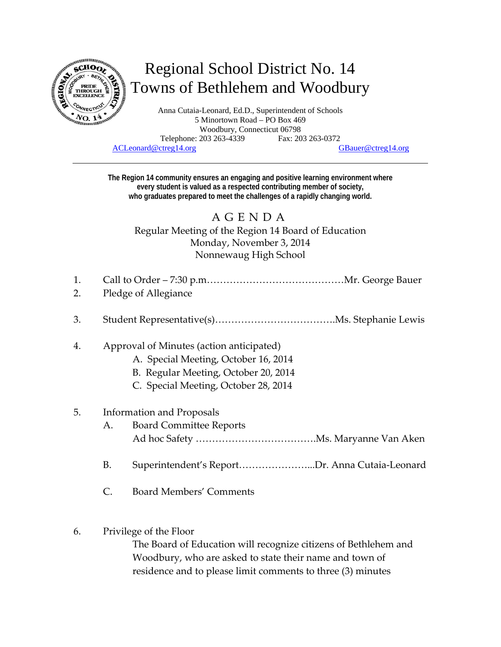

# Regional School District No. 14 Towns of Bethlehem and Woodbury

Anna Cutaia-Leonard, Ed.D., Superintendent of Schools 5 Minortown Road – PO Box 469 Woodbury, Connecticut 06798 Telephone: 203 263-4339 Fax: 203 263-0372 ACLeonard@ctreg14.org GBauer@ctreg14.org

**The Region 14 community ensures an engaging and positive learning environment where every student is valued as a respected contributing member of society, who graduates prepared to meet the challenges of a rapidly changing world.** 

# AGENDA

Regular Meeting of the Region 14 Board of Education Monday, November 3, 2014 Nonnewaug High School

- 1. Call to Order 7:30 p.m……………………………………Mr. George Bauer
- 2. Pledge of Allegiance
- 3. Student Representative(s)……………………………….Ms. Stephanie Lewis

#### 4. Approval of Minutes (action anticipated)

- A. Special Meeting, October 16, 2014
- B. Regular Meeting, October 20, 2014
- C. Special Meeting, October 28, 2014

#### 5. Information and Proposals

- A. Board Committee Reports Ad hoc Safety ……………………………….Ms. Maryanne Van Aken
- B. Superintendent's Report…………………...Dr. Anna Cutaia‐Leonard
- C. Board Members' Comments
- 6. Privilege of the Floor

The Board of Education will recognize citizens of Bethlehem and Woodbury, who are asked to state their name and town of residence and to please limit comments to three (3) minutes